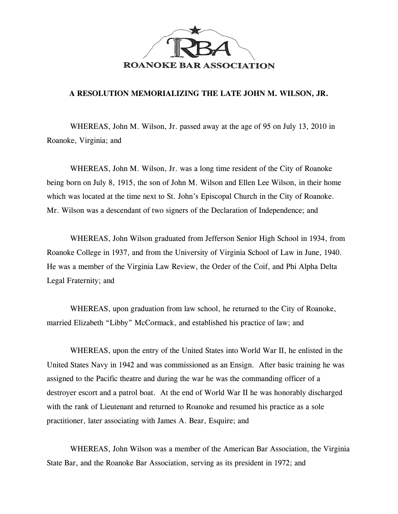

## **A RESOLUTION MEMORIALIZING THE LATE JOHN M. WILSON, JR.**

WHEREAS, John M. Wilson, Jr. passed away at the age of 95 on July 13, 2010 in Roanoke, Virginia; and

WHEREAS, John M. Wilson, Jr. was a long time resident of the City of Roanoke being born on July 8, 1915, the son of John M. Wilson and Ellen Lee Wilson, in their home which was located at the time next to St. John's Episcopal Church in the City of Roanoke. Mr. Wilson was a descendant of two signers of the Declaration of Independence; and

WHEREAS, John Wilson graduated from Jefferson Senior High School in 1934, from Roanoke College in 1937, and from the University of Virginia School of Law in June, 1940. He was a member of the Virginia Law Review, the Order of the Coif, and Phi Alpha Delta Legal Fraternity; and

WHEREAS, upon graduation from law school, he returned to the City of Roanoke, married Elizabeth "Libby" McCormack, and established his practice of law; and

WHEREAS, upon the entry of the United States into World War II, he enlisted in the United States Navy in 1942 and was commissioned as an Ensign. After basic training he was assigned to the Pacific theatre and during the war he was the commanding officer of a destroyer escort and a patrol boat. At the end of World War II he was honorably discharged with the rank of Lieutenant and returned to Roanoke and resumed his practice as a sole practitioner, later associating with James A. Bear, Esquire; and

WHEREAS, John Wilson was a member of the American Bar Association, the Virginia State Bar, and the Roanoke Bar Association, serving as its president in 1972; and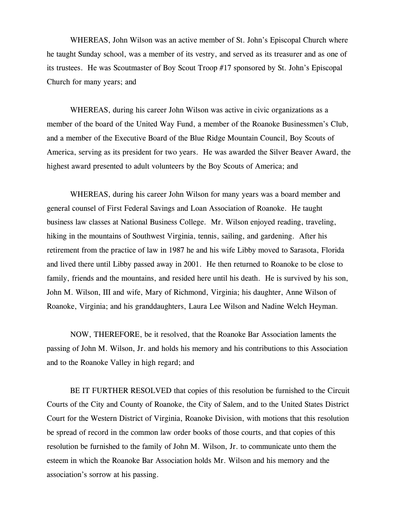WHEREAS, John Wilson was an active member of St. John's Episcopal Church where he taught Sunday school, was a member of its vestry, and served as its treasurer and as one of its trustees. He was Scoutmaster of Boy Scout Troop #17 sponsored by St. John's Episcopal Church for many years; and

WHEREAS, during his career John Wilson was active in civic organizations as a member of the board of the United Way Fund, a member of the Roanoke Businessmen's Club, and a member of the Executive Board of the Blue Ridge Mountain Council, Boy Scouts of America, serving as its president for two years. He was awarded the Silver Beaver Award, the highest award presented to adult volunteers by the Boy Scouts of America; and

WHEREAS, during his career John Wilson for many years was a board member and general counsel of First Federal Savings and Loan Association of Roanoke. He taught business law classes at National Business College. Mr. Wilson enjoyed reading, traveling, hiking in the mountains of Southwest Virginia, tennis, sailing, and gardening. After his retirement from the practice of law in 1987 he and his wife Libby moved to Sarasota, Florida and lived there until Libby passed away in 2001. He then returned to Roanoke to be close to family, friends and the mountains, and resided here until his death. He is survived by his son, John M. Wilson, III and wife, Mary of Richmond, Virginia; his daughter, Anne Wilson of Roanoke, Virginia; and his granddaughters, Laura Lee Wilson and Nadine Welch Heyman.

NOW, THEREFORE, be it resolved, that the Roanoke Bar Association laments the passing of John M. Wilson, Jr. and holds his memory and his contributions to this Association and to the Roanoke Valley in high regard; and

BE IT FURTHER RESOLVED that copies of this resolution be furnished to the Circuit Courts of the City and County of Roanoke, the City of Salem, and to the United States District Court for the Western District of Virginia, Roanoke Division, with motions that this resolution be spread of record in the common law order books of those courts, and that copies of this resolution be furnished to the family of John M. Wilson, Jr. to communicate unto them the esteem in which the Roanoke Bar Association holds Mr. Wilson and his memory and the association's sorrow at his passing.